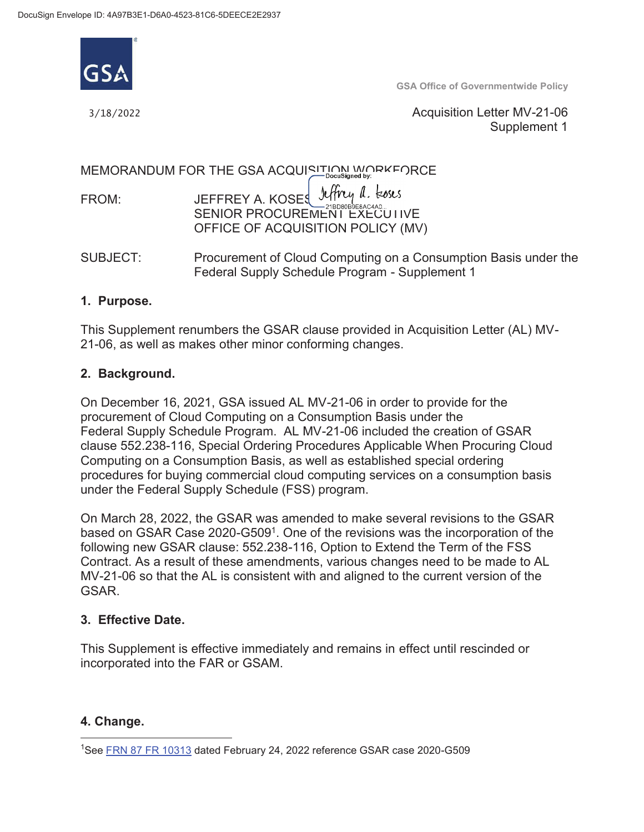

**GSA Office of Governmentwide Policy** 

3/18/2022

 Acquisition Letter MV-21-06 Supplement 1

MEMORANDUM FOR THE GSA ACQUISITION WORKFORCE

|       | JEFFREY A. KOSES Jeffrey a. Loses |
|-------|-----------------------------------|
| FROM: |                                   |
|       | SENIOR PROCUREMENT EXECUTIVE      |
|       | OFFICE OF ACQUISITION POLICY (MV) |

 $SIJBJFCT<sup>+</sup>$ Procurement of Cloud Computing on a Consumption Basis under the Federal Supply Schedule Program - Supplement 1

### **1. Purpose.**

This Supplement renumbers the GSAR clause provided in Acquisition Letter (AL) MV-21-06, as well as makes other minor conforming changes.

### **2. Background.**

procurement of Cloud Computing on a Consumption Basis under the On December 16, 2021, GSA issued AL MV-21-06 in order to provide for the Federal Supply Schedule Program. AL MV-21-06 included the creation of GSAR clause 552.238-116, Special Ordering Procedures Applicable When Procuring Cloud Computing on a Consumption Basis, as well as established special ordering procedures for buying commercial cloud computing services on a consumption basis under the Federal Supply Schedule (FSS) program.

based on GSAR Case 2020-G509<sup>1</sup>. One of the revisions was the incorporation of the MV-21-06 so that the AL is consistent with and aligned to the current version of the On March 28, 2022, the GSAR was amended to make several revisions to the GSAR following new GSAR clause: 552.238-116, Option to Extend the Term of the FSS Contract. As a result of these amendments, various changes need to be made to AL GSAR.

### **3. Effective Date.**

This Supplement is effective immediately and remains in effect until rescinded or incorporated into the FAR or GSAM.

#### **4. Change.**

l

<sup>&</sup>lt;sup>1</sup>See **FRN 87 FR 10313** dated February 24, 2022 reference GSAR case 2020-G509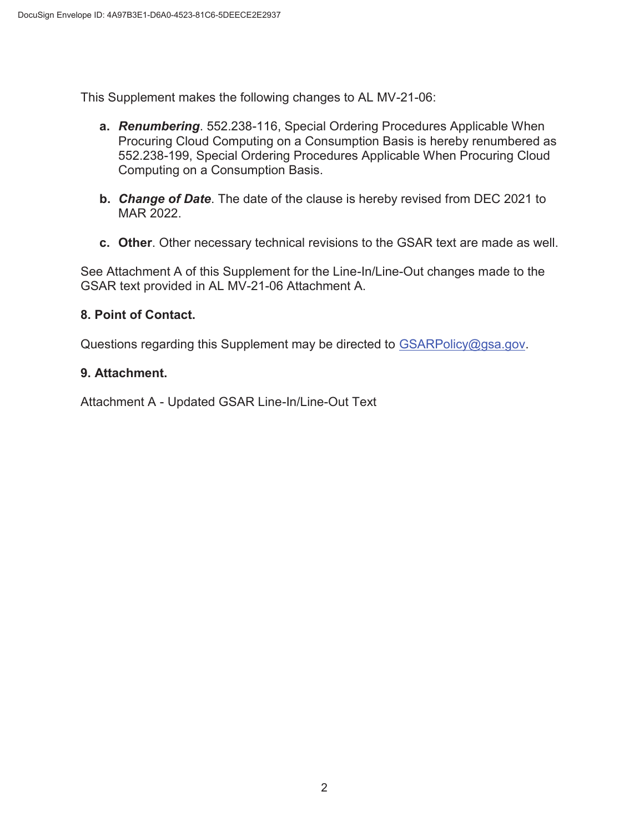This Supplement makes the following changes to AL MV-21-06:

- **a.** *Renumbering*. 552.238-116, Special Ordering Procedures Applicable When Procuring Cloud Computing on a Consumption Basis is hereby renumbered as 552.238-199, Special Ordering Procedures Applicable When Procuring Cloud Computing on a Consumption Basis.
- **b.** *Change of Date*. The date of the clause is hereby revised from DEC 2021 to MAR 2022.
- **c. Other**. Other necessary technical revisions to the GSAR text are made as well.

 See Attachment A of this Supplement for the Line-In/Line-Out changes made to the GSAR text provided in AL MV-21-06 Attachment A.

### **8. Point of Contact.**

Questions regarding this Supplement may be directed to [GSARPolicy@gsa.gov.](mailto:GSARPolicy@gsa.gov)

### **9. Attachment.**

Attachment A - Updated GSAR Line-In/Line-Out Text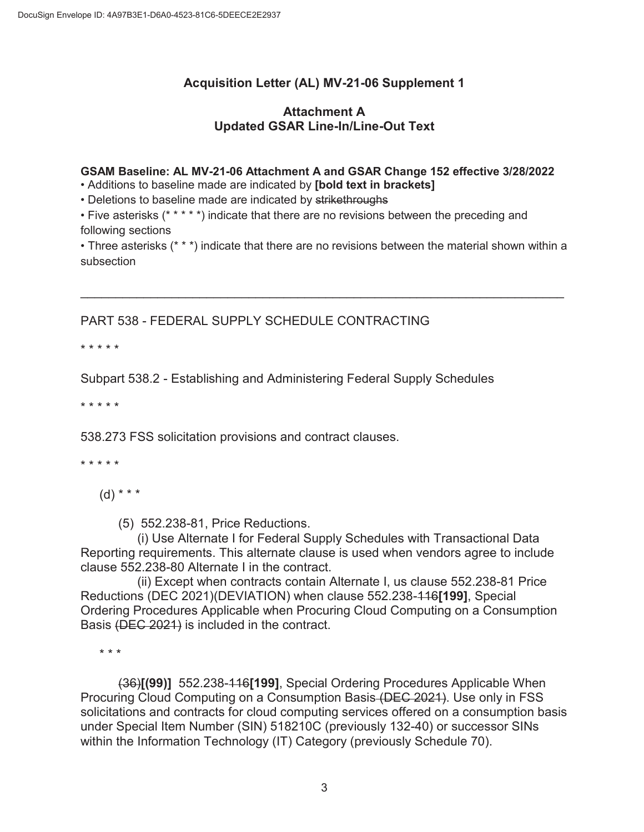## **Acquisition Letter (AL) MV-21-06 Supplement 1**

### **Attachment A Updated GSAR Line-In/Line-Out Text**

#### **GSAM Baseline: AL MV-21-06 Attachment A and GSAR Change 152 effective 3/28/2022**  • Additions to baseline made are indicated by **[bold text in brackets]**

• Deletions to baseline made are indicated by strikethroughs

• Five asterisks (\* \* \* \* \*) indicate that there are no revisions between the preceding and following sections

• Three asterisks (\* \* \*) indicate that there are no revisions between the material shown within a subsection

 $\overline{\phantom{a}}$  , and the contribution of the contribution of the contribution of the contribution of the contribution of the contribution of the contribution of the contribution of the contribution of the contribution of the

PART 538 - FEDERAL SUPPLY SCHEDULE CONTRACTING

\* \* \* \* \*

Subpart 538.2 - Establishing and Administering Federal Supply Schedules

\* \* \* \* \*

538.273 FSS solicitation provisions and contract clauses.

\* \* \* \* \*

 $(d) * * * *$ 

(5) 552.238-81, Price Reductions.

(i) Use Alternate I for Federal Supply Schedules with Transactional Data Reporting requirements. This alternate clause is used when vendors agree to include clause 552.238-80 Alternate I in the contract.

(ii) Except when contracts contain Alternate I, us clause 552.238-81 Price Reductions (DEC 2021)(DEVIATION) when clause 552.238-116**[199]**, Special Ordering Procedures Applicable when Procuring Cloud Computing on a Consumption Basis (DEC 2021) is included in the contract.

\* \* \*

(36)**[(99)]** 552.238-116**[199]**, Special Ordering Procedures Applicable When Procuring Cloud Computing on a Consumption Basis (DEC 2021). Use only in FSS solicitations and contracts for cloud computing services offered on a consumption basis under Special Item Number (SIN) 518210C (previously 132-40) or successor SINs within the Information Technology (IT) Category (previously Schedule 70).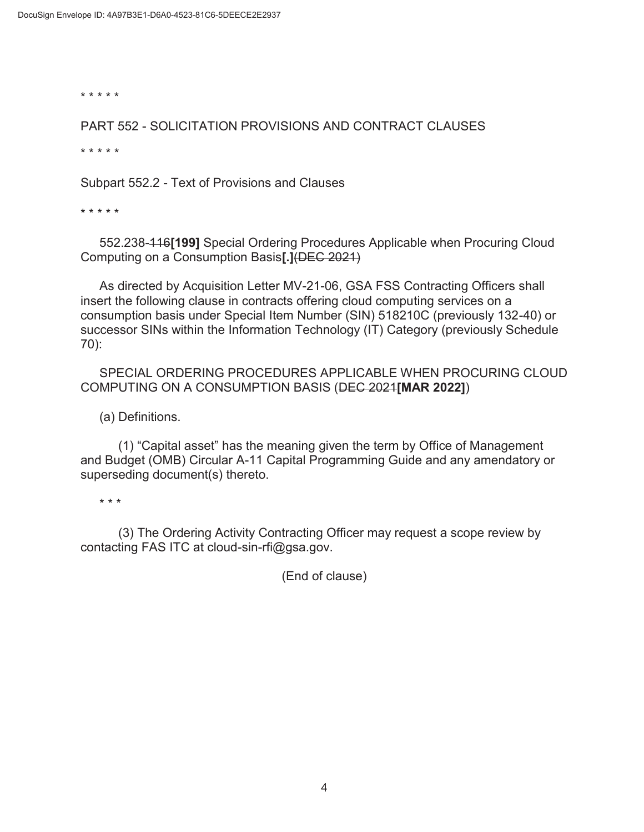\* \* \* \* \*

PART 552 - SOLICITATION PROVISIONS AND CONTRACT CLAUSES

\* \* \* \* \*

Subpart 552.2 - Text of Provisions and Clauses<br>\* \* \* \* \*

552.238-116**[199]** Special Ordering Procedures Applicable when Procuring Cloud Computing on a Consumption Basis**[.]**(DEC 2021)

As directed by Acquisition Letter MV-21-06, GSA FSS Contracting Officers shall insert the following clause in contracts offering cloud computing services on a consumption basis under Special Item Number (SIN) 518210C (previously 132-40) or successor SINs within the Information Technology (IT) Category (previously Schedule 70):

SPECIAL ORDERING PROCEDURES APPLICABLE WHEN PROCURING CLOUD COMPUTING ON A CONSUMPTION BASIS (DEC 2021**[MAR 2022]**)

(a) Definitions.

(1) "Capital asset" has the meaning given the term by Office of Management and Budget (OMB) Circular A-11 Capital Programming Guide and any amendatory or superseding document(s) thereto.

\* \* \*

(3) The Ordering Activity Contracting Officer may request a scope review by contacting FAS ITC at [cloud-sin-rfi@gsa.gov.](mailto:cloud-sin-rfi@gsa.gov)

(End of clause)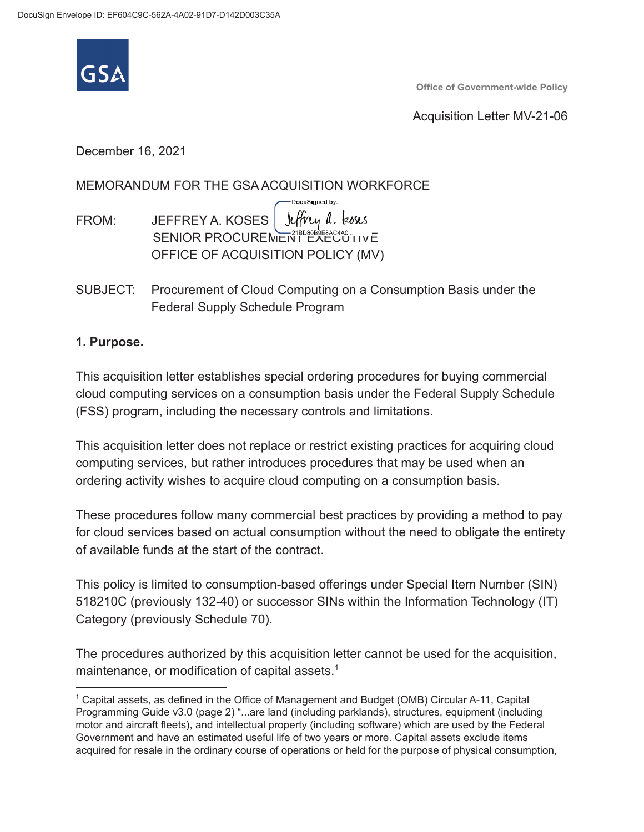

**Office of Government-wide Policy** 

Acquisition Letter MV-21-06

December 16, 2021

### MEMORANDUM FOR THE GSA ACQUISITION WORKFORCE

- FROM: JEFFREY A. KOSES Jeffrey a. koses SENIOR PROCUREMENT EXECUTIVE OFFICE OF ACQUISITION POLICY (MV)
- SUBJECT: Procurement of Cloud Computing on a Consumption Basis under the Federal Supply Schedule Program

DocuSigned by:

### **1. Purpose.**

This acquisition letter establishes special ordering procedures for buying commercial cloud computing services on a consumption basis under the Federal Supply Schedule (FSS) program, including the necessary controls and limitations.

This acquisition letter does not replace or restrict existing practices for acquiring cloud computing services, but rather introduces procedures that may be used when an ordering activity wishes to acquire cloud computing on a consumption basis.

These procedures follow many commercial best practices by providing a method to pay for cloud services based on actual consumption without the need to obligate the entirety of available funds at the start of the contract.

This policy is limited to consumption-based offerings under Special Item Number (SIN) 518210C (previously 132-40) or successor SINs within the Information Technology (IT) Category (previously Schedule 70).

The procedures authorized by this acquisition letter cannot be used for the acquisition, maintenance, or modification of capital assets.<sup>1</sup>

<sup>1</sup> Capital assets, as defined in the Office of Management and Budget (OMB) Circular A-11, Capital Programming Guide v3.0 (page 2) "...are land (including parklands), structures, equipment (including motor and aircraft fleets), and intellectual property (including software) which are used by the Federal Government and have an estimated useful life of two years or more. Capital assets exclude items acquired for resale in the ordinary course of operations or held for the purpose of physical consumption,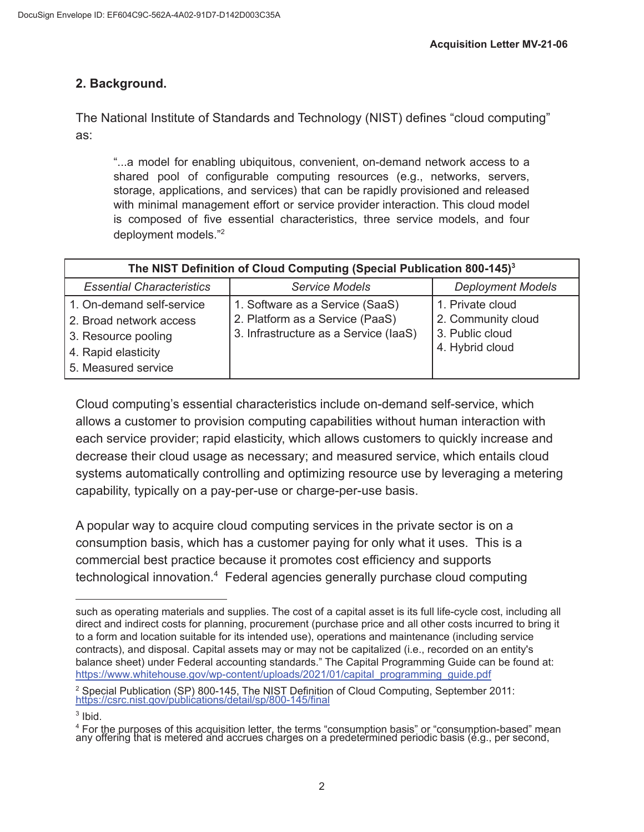## **2. Background.**

The National Institute of Standards and Technology (NIST) defines "cloud computing" as:

"...a model for enabling ubiquitous, convenient, on-demand network access to a shared pool of configurable computing resources (e.g., networks, servers, storage, applications, and services) that can be rapidly provisioned and released with minimal management effort or service provider interaction. This cloud model is composed of five essential characteristics, three service models, and four deployment models."2

| The NIST Definition of Cloud Computing (Special Publication 800-145) <sup>3</sup>                                         |                                                                                                             |                                                                              |  |
|---------------------------------------------------------------------------------------------------------------------------|-------------------------------------------------------------------------------------------------------------|------------------------------------------------------------------------------|--|
| <b>Essential Characteristics</b>                                                                                          | <b>Service Models</b>                                                                                       | <b>Deployment Models</b>                                                     |  |
| 1. On-demand self-service<br>2. Broad network access<br>3. Resource pooling<br>4. Rapid elasticity<br>5. Measured service | 1. Software as a Service (SaaS)<br>2. Platform as a Service (PaaS)<br>3. Infrastructure as a Service (laaS) | 1. Private cloud<br>2. Community cloud<br>3. Public cloud<br>4. Hybrid cloud |  |

Cloud computing's essential characteristics include on-demand self-service, which allows a customer to provision computing capabilities without human interaction with each service provider; rapid elasticity, which allows customers to quickly increase and decrease their cloud usage as necessary; and measured service, which entails cloud systems automatically controlling and optimizing resource use by leveraging a metering capability, typically on a pay-per-use or charge-per-use basis.

A popular way to acquire cloud computing services in the private sector is on a consumption basis, which has a customer paying for only what it uses. This is a commercial best practice because it promotes cost efficiency and supports technological innovation.<sup>4</sup> Federal agencies generally purchase cloud computing

such as operating materials and supplies. The cost of a capital asset is its full life-cycle cost, including all direct and indirect costs for planning, procurement (purchase price and all other costs incurred to bring it to a form and location suitable for its intended use), operations and maintenance (including service contracts), and disposal. Capital assets may or may not be capitalized (i.e., recorded on an entity's balance sheet) under Federal accounting standards." The Capital Programming Guide can be found at: [https://www.whitehouse.gov/wp-content/uploads/2021/01/capital\\_programming\\_guide.pdf](https://www.whitehouse.gov/wp-content/uploads/2021/01/capital_programming_guide.pdf)

<sup>&</sup>lt;sup>2</sup> Special Publication (SP) 800-145, The NIST Definition of Cloud Computing, September 2011: <https://csrc.nist.gov/publications/detail/sp/800-145/final>

 $3$  Ibid.

<sup>&</sup>lt;sup>4</sup> For the purposes of this acquisition letter, the terms "consumption basis" or "consumption-based" mean any offering that is metered and accrues charges on a predetermined periodic basis (e.g., per second,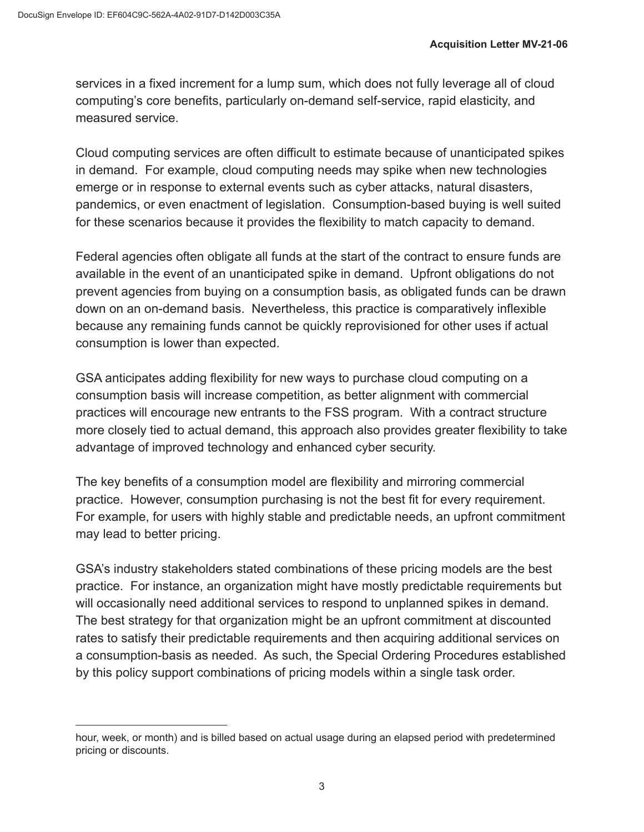services in a fixed increment for a lump sum, which does not fully leverage all of cloud computing's core benefits, particularly on-demand self-service, rapid elasticity, and measured service.

Cloud computing services are often difficult to estimate because of unanticipated spikes in demand. For example, cloud computing needs may spike when new technologies emerge or in response to external events such as cyber attacks, natural disasters, pandemics, or even enactment of legislation. Consumption-based buying is well suited for these scenarios because it provides the flexibility to match capacity to demand.

Federal agencies often obligate all funds at the start of the contract to ensure funds are available in the event of an unanticipated spike in demand. Upfront obligations do not prevent agencies from buying on a consumption basis, as obligated funds can be drawn down on an on-demand basis. Nevertheless, this practice is comparatively inflexible because any remaining funds cannot be quickly reprovisioned for other uses if actual consumption is lower than expected.

GSA anticipates adding flexibility for new ways to purchase cloud computing on a consumption basis will increase competition, as better alignment with commercial practices will encourage new entrants to the FSS program. With a contract structure more closely tied to actual demand, this approach also provides greater flexibility to take advantage of improved technology and enhanced cyber security.

The key benefits of a consumption model are flexibility and mirroring commercial practice. However, consumption purchasing is not the best fit for every requirement. For example, for users with highly stable and predictable needs, an upfront commitment may lead to better pricing.

GSA's industry stakeholders stated combinations of these pricing models are the best practice. For instance, an organization might have mostly predictable requirements but will occasionally need additional services to respond to unplanned spikes in demand. The best strategy for that organization might be an upfront commitment at discounted rates to satisfy their predictable requirements and then acquiring additional services on a consumption-basis as needed. As such, the Special Ordering Procedures established by this policy support combinations of pricing models within a single task order.

hour, week, or month) and is billed based on actual usage during an elapsed period with predetermined pricing or discounts.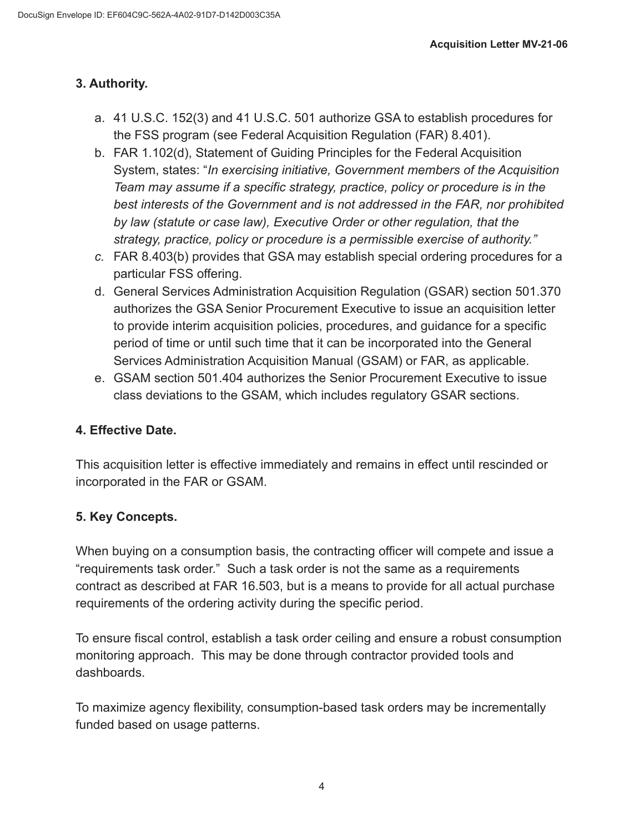# **3. Authority.**

- a. 41 U.S.C. 152(3) and 41 U.S.C. 501 authorize GSA to establish procedures for the FSS program (see Federal Acquisition Regulation (FAR) 8.401).
- b. FAR 1.102(d), Statement of Guiding Principles for the Federal Acquisition System, states: "*In exercising initiative, Government members of the Acquisition Team may assume if a specific strategy, practice, policy or procedure is in the best interests of the Government and is not addressed in the FAR, nor prohibited by law (statute or case law), Executive Order or other regulation, that the strategy, practice, policy or procedure is a permissible exercise of authority."*
- *c.* FAR 8.403(b) provides that GSA may establish special ordering procedures for a particular FSS offering.
- d. General Services Administration Acquisition Regulation (GSAR) section 501.370 authorizes the GSA Senior Procurement Executive to issue an acquisition letter to provide interim acquisition policies, procedures, and guidance for a specific period of time or until such time that it can be incorporated into the General Services Administration Acquisition Manual (GSAM) or FAR, as applicable.
- e. GSAM section 501.404 authorizes the Senior Procurement Executive to issue class deviations to the GSAM, which includes regulatory GSAR sections.

## **4. Effective Date.**

This acquisition letter is effective immediately and remains in effect until rescinded or incorporated in the FAR or GSAM.

# **5. Key Concepts.**

When buying on a consumption basis, the contracting officer will compete and issue a "requirements task order." Such a task order is not the same as a requirements contract as described at FAR 16.503, but is a means to provide for all actual purchase requirements of the ordering activity during the specific period.

To ensure fiscal control, establish a task order ceiling and ensure a robust consumption monitoring approach. This may be done through contractor provided tools and dashboards.

To maximize agency flexibility, consumption-based task orders may be incrementally funded based on usage patterns.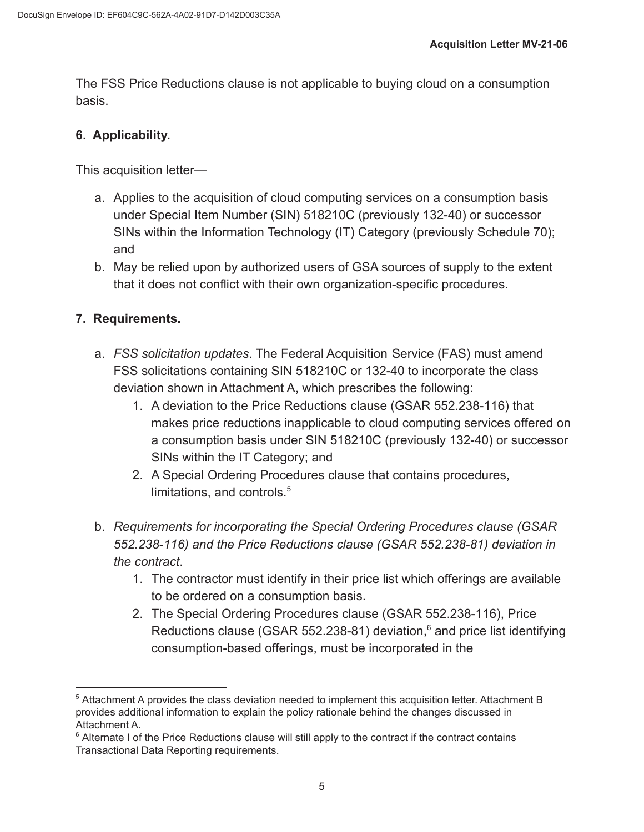The FSS Price Reductions clause is not applicable to buying cloud on a consumption basis.

## **6. Applicability.**

This acquisition letter—

- a. Applies to the acquisition of cloud computing services on a consumption basis under Special Item Number (SIN) 518210C (previously 132-40) or successor SINs within the Information Technology (IT) Category (previously Schedule 70); and
- b. May be relied upon by authorized users of GSA sources of supply to the extent that it does not conflict with their own organization-specific procedures.

## **7. Requirements.**

- a. *FSS solicitation updates*. The Federal Acquisition Service (FAS) must amend FSS solicitations containing SIN 518210C or 132-40 to incorporate the class deviation shown in Attachment A, which prescribes the following:
	- 1. A deviation to the Price Reductions clause (GSAR 552.238-116) that makes price reductions inapplicable to cloud computing services offered on a consumption basis under SIN 518210C (previously 132-40) or successor SINs within the IT Category; and
	- 2. A Special Ordering Procedures clause that contains procedures, limitations, and controls.<sup>5</sup>
- b. *Requirements for incorporating the Special Ordering Procedures clause (GSAR 552.238-116) and the Price Reductions clause (GSAR 552.238-81) deviation in the contract*.
	- 1. The contractor must identify in their price list which offerings are available to be ordered on a consumption basis.
	- 2. The Special Ordering Procedures clause (GSAR 552.238-116), Price Reductions clause (GSAR 552.238-81) deviation, $6$  and price list identifying consumption-based offerings, must be incorporated in the

<sup>5</sup> Attachment A provides the class deviation needed to implement this acquisition letter. Attachment B provides additional information to explain the policy rationale behind the changes discussed in Attachment A.

 $6$  Alternate I of the Price Reductions clause will still apply to the contract if the contract contains Transactional Data Reporting requirements.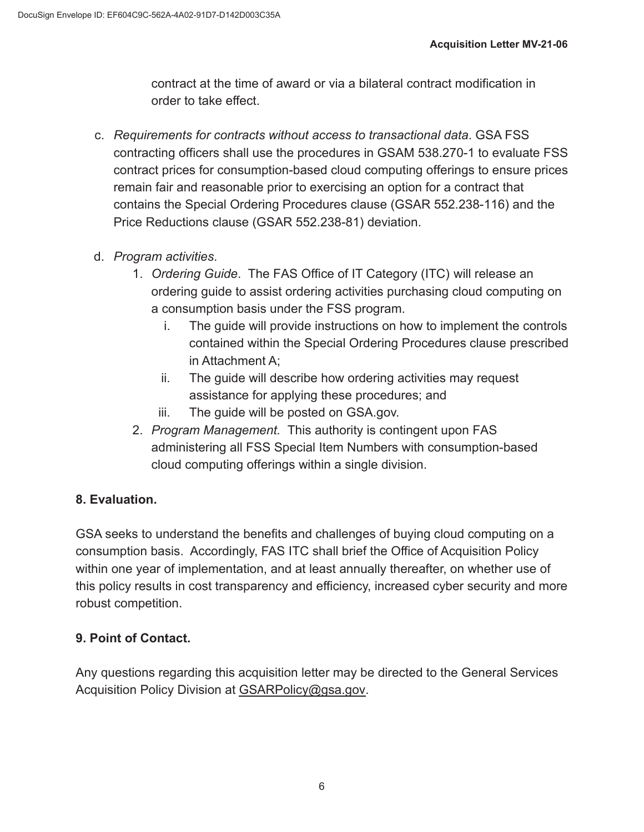contract at the time of award or via a bilateral contract modification in order to take effect.

- c. *Requirements for contracts without access to transactional data*. GSA FSS contracting officers shall use the procedures in GSAM 538.270-1 to evaluate FSS contract prices for consumption-based cloud computing offerings to ensure prices remain fair and reasonable prior to exercising an option for a contract that contains the Special Ordering Procedures clause (GSAR 552.238-116) and the Price Reductions clause (GSAR 552.238-81) deviation.
- d. *Program activities*.
	- 1. *Ordering Guide*. The FAS Office of IT Category (ITC) will release an ordering guide to assist ordering activities purchasing cloud computing on a consumption basis under the FSS program.
		- i. The guide will provide instructions on how to implement the controls contained within the Special Ordering Procedures clause prescribed in Attachment A;
		- ii. The guide will describe how ordering activities may request assistance for applying these procedures; and
		- iii. The guide will be posted on GSA.gov.
	- 2. *Program Management.* This authority is contingent upon FAS administering all FSS Special Item Numbers with consumption-based cloud computing offerings within a single division.

# **8. Evaluation.**

GSA seeks to understand the benefits and challenges of buying cloud computing on a consumption basis. Accordingly, FAS ITC shall brief the Office of Acquisition Policy within one year of implementation, and at least annually thereafter, on whether use of this policy results in cost transparency and efficiency, increased cyber security and more robust competition.

# **9. Point of Contact.**

Any questions regarding this acquisition letter may be directed to the General Services Acquisition Policy Division at [GSARPolicy@gsa.gov.](mailto:GSARPolicy@gsa.gov)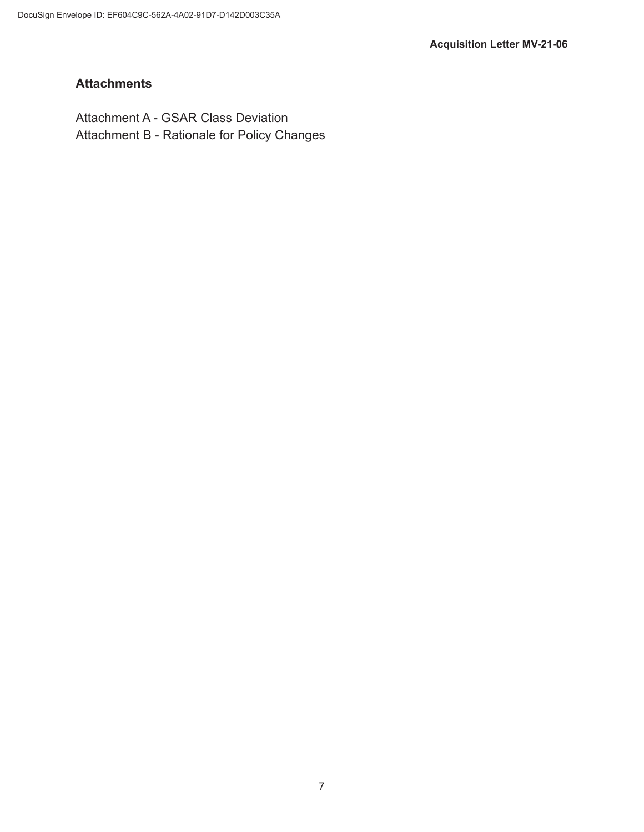# **Attachments**

Attachment A - GSAR Class Deviation Attachment B - Rationale for Policy Changes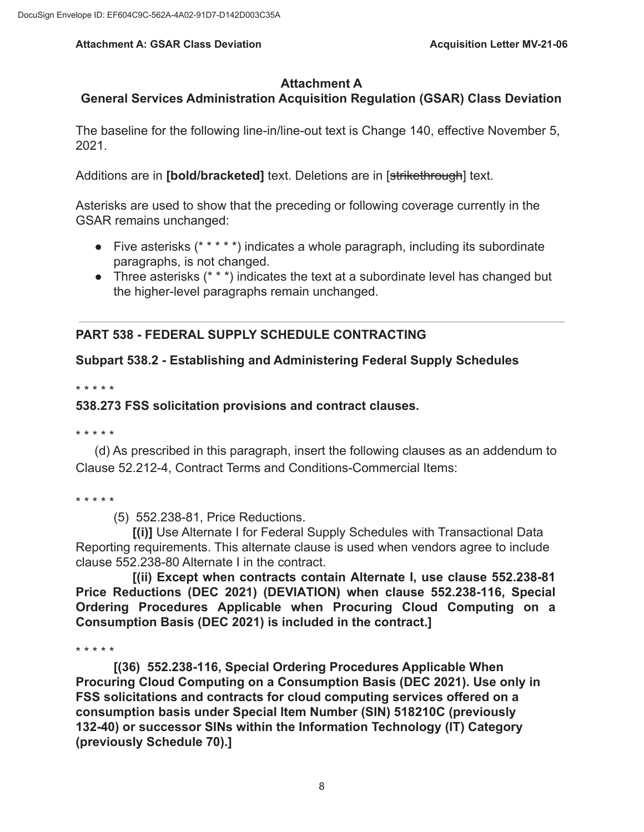### **Attachment A**

## **General Services Administration Acquisition Regulation (GSAR) Class Deviation**

The baseline for the following line-in/line-out text is Change 140, effective November 5, 2021.

Additions are in **[bold/bracketed]** text. Deletions are in [strikethrough] text.

Asterisks are used to show that the preceding or following coverage currently in the GSAR remains unchanged:

- Five asterisks (\* \* \* \* \*) indicates a whole paragraph, including its subordinate paragraphs, is not changed.
- Three asterisks (\* \* \*) indicates the text at a subordinate level has changed but the higher-level paragraphs remain unchanged.

## **PART 538 - FEDERAL SUPPLY SCHEDULE CONTRACTING**

## **Subpart 538.2 - Establishing and Administering Federal Supply Schedules**

\* \* \* \* \*

### **538.273 FSS solicitation provisions and contract clauses.**

\* \* \* \* \*

(d) As prescribed in this paragraph, insert the following clauses as an addendum to Clause 52.212-4, Contract Terms and Conditions-Commercial Items:

\* \* \* \* \*

(5) 552.238-81, Price Reductions.

**[(i)]** Use Alternate I for Federal Supply Schedules with Transactional Data Reporting requirements. This alternate clause is used when vendors agree to include clause 552.238-80 Alternate I in the contract.

**[(ii) Except when contracts contain Alternate I, use clause 552.238-81 Price Reductions (DEC 2021) (DEVIATION) when clause 552.238-116, Special Ordering Procedures Applicable when Procuring Cloud Computing on a Consumption Basis (DEC 2021) is included in the contract.]** 

\* \* \* \* \*

**[(36) 552.238-116, Special Ordering Procedures Applicable When Procuring Cloud Computing on a Consumption Basis (DEC 2021). Use only in FSS solicitations and contracts for cloud computing services offered on a consumption basis under Special Item Number (SIN) 518210C (previously 132-40) or successor SINs within the Information Technology (IT) Category (previously Schedule 70).]**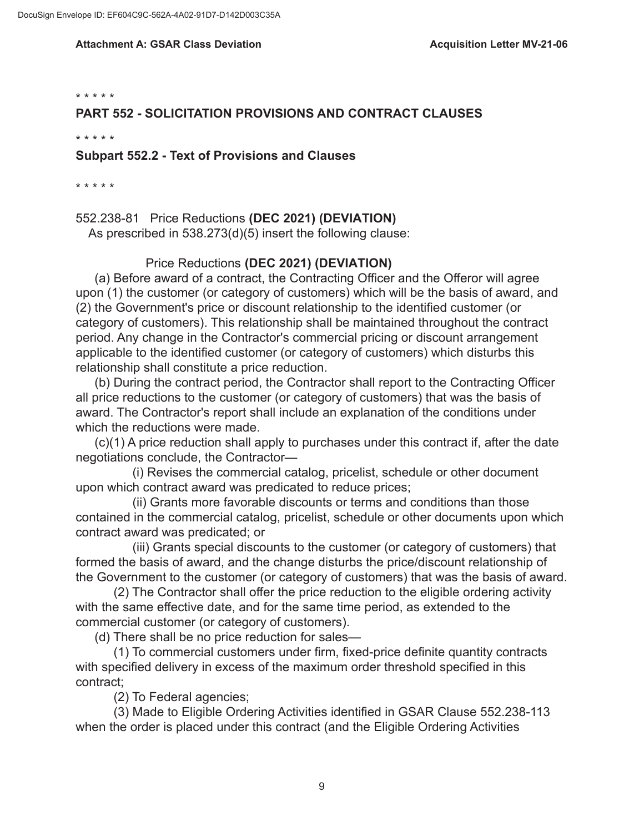\* \* \* \* \*

### **PART 552 - SOLICITATION PROVISIONS AND CONTRACT CLAUSES**

\* \* \* \* \*

### **Subpart 552.2 - Text of Provisions and Clauses**

\* \* \* \* \*

552.238-81 Price Reductions **(DEC 2021) (DEVIATION)** As prescribed in 538.273(d)(5) insert the following clause:

### Price Reductions **(DEC 2021) (DEVIATION)**

(a) Before award of a contract, the Contracting Officer and the Offeror will agree upon (1) the customer (or category of customers) which will be the basis of award, and (2) the Government's price or discount relationship to the identified customer (or category of customers). This relationship shall be maintained throughout the contract period. Any change in the Contractor's commercial pricing or discount arrangement applicable to the identified customer (or category of customers) which disturbs this relationship shall constitute a price reduction.

(b) During the contract period, the Contractor shall report to the Contracting Officer all price reductions to the customer (or category of customers) that was the basis of award. The Contractor's report shall include an explanation of the conditions under which the reductions were made.

(c)(1) A price reduction shall apply to purchases under this contract if, after the date negotiations conclude, the Contractor—

(i) Revises the commercial catalog, pricelist, schedule or other document upon which contract award was predicated to reduce prices;

(ii) Grants more favorable discounts or terms and conditions than those contained in the commercial catalog, pricelist, schedule or other documents upon which contract award was predicated; or

(iii) Grants special discounts to the customer (or category of customers) that formed the basis of award, and the change disturbs the price/discount relationship of the Government to the customer (or category of customers) that was the basis of award.

(2) The Contractor shall offer the price reduction to the eligible ordering activity with the same effective date, and for the same time period, as extended to the commercial customer (or category of customers).

(d) There shall be no price reduction for sales—

(1) To commercial customers under firm, fixed-price definite quantity contracts with specified delivery in excess of the maximum order threshold specified in this contract;

(2) To Federal agencies;

(3) Made to Eligible Ordering Activities identified in GSAR Clause 552.238-113 when the order is placed under this contract (and the Eligible Ordering Activities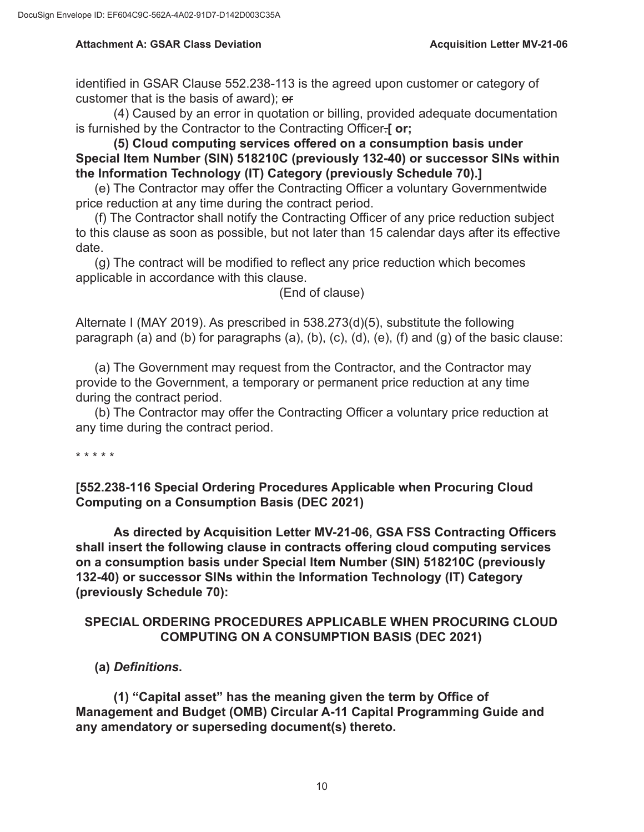identified in GSAR Clause 552.238-113 is the agreed upon customer or category of customer that is the basis of award); or

(4) Caused by an error in quotation or billing, provided adequate documentation is furnished by the Contractor to the Contracting Officer.**[ or;** 

**(5) Cloud computing services offered on a consumption basis under Special Item Number (SIN) 518210C (previously 132-40) or successor SINs within the Information Technology (IT) Category (previously Schedule 70).]** 

(e) The Contractor may offer the Contracting Officer a voluntary Governmentwide price reduction at any time during the contract period.

(f) The Contractor shall notify the Contracting Officer of any price reduction subject to this clause as soon as possible, but not later than 15 calendar days after its effective date.

(g) The contract will be modified to reflect any price reduction which becomes applicable in accordance with this clause.

(End of clause)

Alternate I (MAY 2019). As prescribed in 538.273(d)(5), substitute the following paragraph (a) and (b) for paragraphs (a), (b), (c), (d), (e), (f) and (g) of the basic clause:

(a) The Government may request from the Contractor, and the Contractor may provide to the Government, a temporary or permanent price reduction at any time during the contract period.

(b) The Contractor may offer the Contracting Officer a voluntary price reduction at any time during the contract period.

\* \* \* \* \*

**[552.238-116 Special Ordering Procedures Applicable when Procuring Cloud Computing on a Consumption Basis (DEC 2021)** 

**As directed by Acquisition Letter MV-21-06, GSA FSS Contracting Officers shall insert the following clause in contracts offering cloud computing services on a consumption basis under Special Item Number (SIN) 518210C (previously 132-40) or successor SINs within the Information Technology (IT) Category (previously Schedule 70):**

## **SPECIAL ORDERING PROCEDURES APPLICABLE WHEN PROCURING CLOUD COMPUTING ON A CONSUMPTION BASIS (DEC 2021)**

**(a)** *Definitions***.**

**(1) "Capital asset" has the meaning given the term by Office of Management and Budget (OMB) Circular A-11 Capital Programming Guide and any amendatory or superseding document(s) thereto.**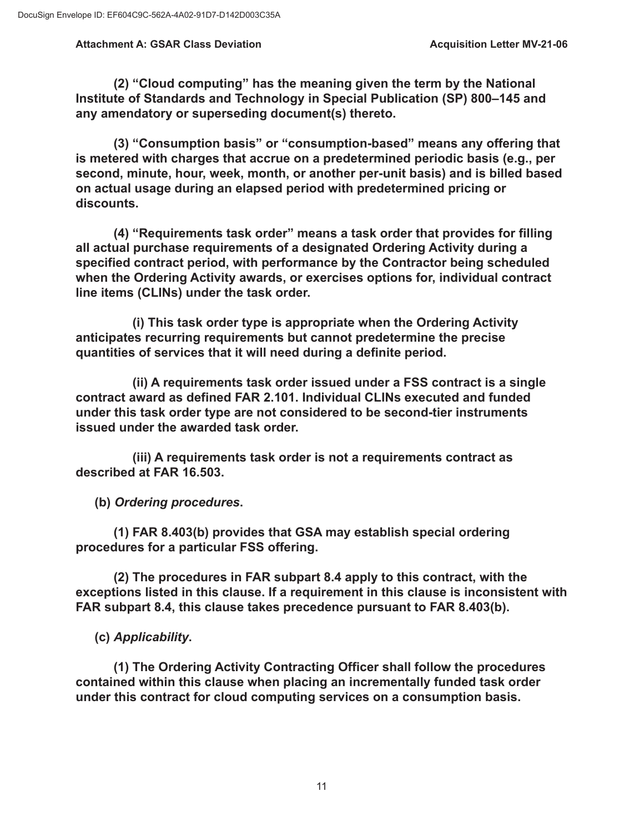**(2) "Cloud computing" has the meaning given the term by the National Institute of Standards and Technology in Special Publication (SP) 800–145 and any amendatory or superseding document(s) thereto.** 

**(3) "Consumption basis" or "consumption-based" means any offering that is metered with charges that accrue on a predetermined periodic basis (e.g., per second, minute, hour, week, month, or another per-unit basis) and is billed based on actual usage during an elapsed period with predetermined pricing or discounts.** 

**(4) "Requirements task order" means a task order that provides for filling all actual purchase requirements of a designated Ordering Activity during a specified contract period, with performance by the Contractor being scheduled when the Ordering Activity awards, or exercises options for, individual contract line items (CLINs) under the task order.** 

**(i) This task order type is appropriate when the Ordering Activity anticipates recurring requirements but cannot predetermine the precise quantities of services that it will need during a definite period.** 

**(ii) A requirements task order issued under a FSS contract is a single contract award as defined FAR 2.101. Individual CLINs executed and funded under this task order type are not considered to be second-tier instruments issued under the awarded task order.** 

**(iii) A requirements task order is not a requirements contract as described at FAR 16.503.** 

**(b)** *Ordering procedures***.** 

**(1) FAR 8.403(b) provides that GSA may establish special ordering procedures for a particular FSS offering.** 

**(2) The procedures in FAR subpart 8.4 apply to this contract, with the exceptions listed in this clause. If a requirement in this clause is inconsistent with FAR subpart 8.4, this clause takes precedence pursuant to FAR 8.403(b).** 

**(c)** *Applicability***.** 

**(1) The Ordering Activity Contracting Officer shall follow the procedures contained within this clause when placing an incrementally funded task order under this contract for cloud computing services on a consumption basis.**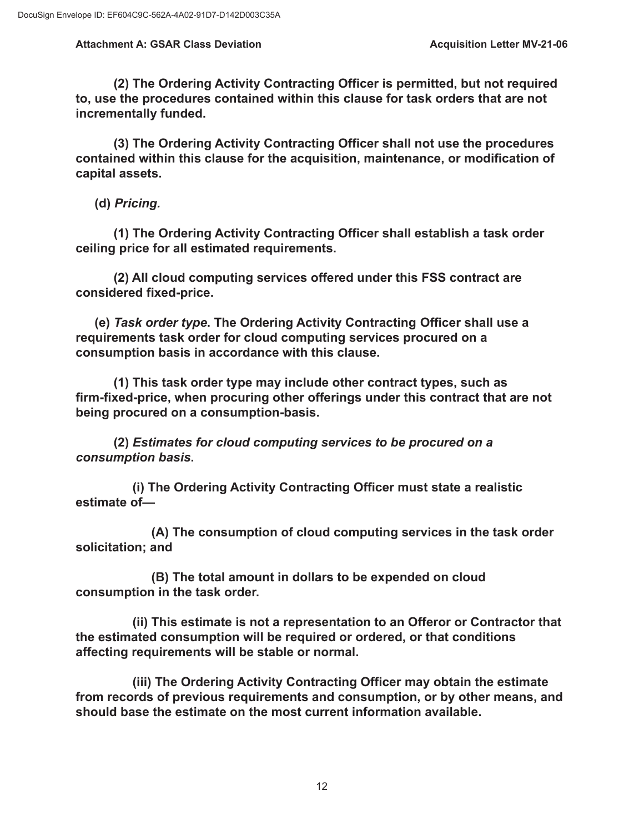**(2) The Ordering Activity Contracting Officer is permitted, but not required to, use the procedures contained within this clause for task orders that are not incrementally funded.** 

**(3) The Ordering Activity Contracting Officer shall not use the procedures contained within this clause for the acquisition, maintenance, or modification of capital assets.** 

**(d)** *Pricing.* 

**(1) The Ordering Activity Contracting Officer shall establish a task order ceiling price for all estimated requirements.** 

**(2) All cloud computing services offered under this FSS contract are considered fixed-price.** 

**(e)** *Task order type***. The Ordering Activity Contracting Officer shall use a requirements task order for cloud computing services procured on a consumption basis in accordance with this clause.** 

**(1) This task order type may include other contract types, such as firm-fixed-price, when procuring other offerings under this contract that are not being procured on a consumption-basis.** 

**(2)** *Estimates for cloud computing services to be procured on a consumption basis***.** 

**(i) The Ordering Activity Contracting Officer must state a realistic estimate of—** 

**(A) The consumption of cloud computing services in the task order solicitation; and** 

**(B) The total amount in dollars to be expended on cloud consumption in the task order.** 

**(ii) This estimate is not a representation to an Offeror or Contractor that the estimated consumption will be required or ordered, or that conditions affecting requirements will be stable or normal.** 

**(iii) The Ordering Activity Contracting Officer may obtain the estimate from records of previous requirements and consumption, or by other means, and should base the estimate on the most current information available.**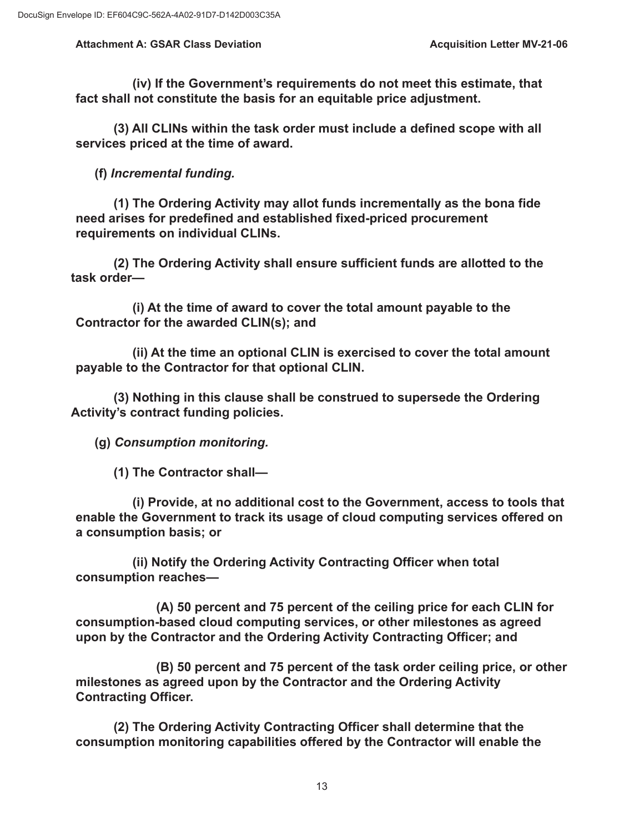**(iv) If the Government's requirements do not meet this estimate, that fact shall not constitute the basis for an equitable price adjustment.** 

**(3) All CLINs within the task order must include a defined scope with all services priced at the time of award.** 

**(f)** *Incremental funding.* 

**(1) The Ordering Activity may allot funds incrementally as the bona fide need arises for predefined and established fixed-priced procurement requirements on individual CLINs.** 

**(2) The Ordering Activity shall ensure sufficient funds are allotted to the task order—** 

**(i) At the time of award to cover the total amount payable to the Contractor for the awarded CLIN(s); and** 

**(ii) At the time an optional CLIN is exercised to cover the total amount payable to the Contractor for that optional CLIN.** 

**(3) Nothing in this clause shall be construed to supersede the Ordering Activity's contract funding policies.** 

**(g)** *Consumption monitoring.* 

**(1) The Contractor shall—** 

**(i) Provide, at no additional cost to the Government, access to tools that enable the Government to track its usage of cloud computing services offered on a consumption basis; or** 

**(ii) Notify the Ordering Activity Contracting Officer when total consumption reaches—** 

**(A) 50 percent and 75 percent of the ceiling price for each CLIN for consumption-based cloud computing services, or other milestones as agreed upon by the Contractor and the Ordering Activity Contracting Officer; and** 

**(B) 50 percent and 75 percent of the task order ceiling price, or other milestones as agreed upon by the Contractor and the Ordering Activity Contracting Officer.** 

**(2) The Ordering Activity Contracting Officer shall determine that the consumption monitoring capabilities offered by the Contractor will enable the**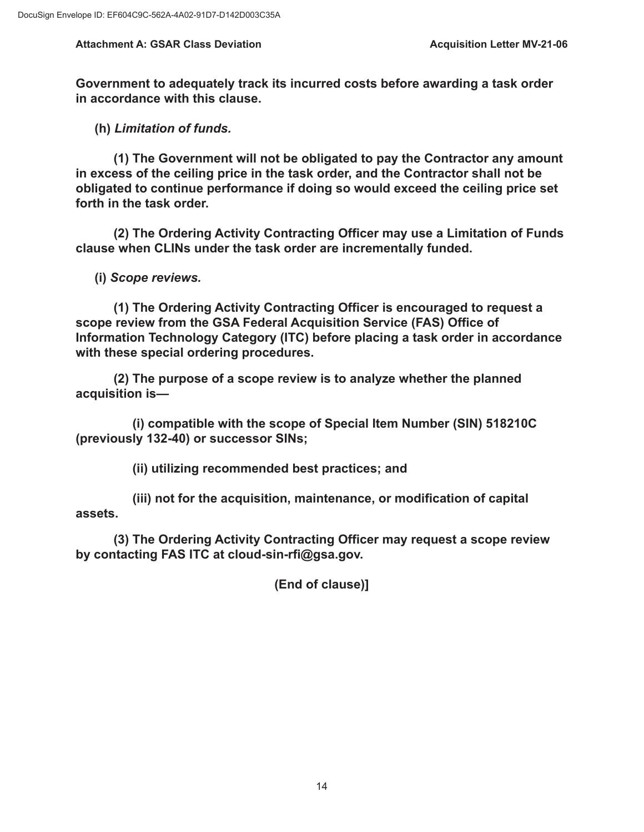**Government to adequately track its incurred costs before awarding a task order in accordance with this clause.** 

**(h)** *Limitation of funds.* 

**(1) The Government will not be obligated to pay the Contractor any amount in excess of the ceiling price in the task order, and the Contractor shall not be obligated to continue performance if doing so would exceed the ceiling price set forth in the task order.** 

**(2) The Ordering Activity Contracting Officer may use a Limitation of Funds clause when CLINs under the task order are incrementally funded.** 

**(i)** *Scope reviews.* 

**(1) The Ordering Activity Contracting Officer is encouraged to request a scope review from the GSA Federal Acquisition Service (FAS) Office of Information Technology Category (ITC) before placing a task order in accordance with these special ordering procedures.** 

**(2) The purpose of a scope review is to analyze whether the planned acquisition is—** 

**(i) compatible with the scope of Special Item Number (SIN) 518210C (previously 132-40) or successor SINs;** 

**(ii) utilizing recommended best practices; and** 

**(iii) not for the acquisition, maintenance, or modification of capital assets.** 

**(3) The Ordering Activity Contracting Officer may request a scope review by contacting FAS ITC at [cloud-sin-rfi@gsa.gov.](mailto:cloud-sin-rfi@gsa.gov)** 

**(End of clause)]**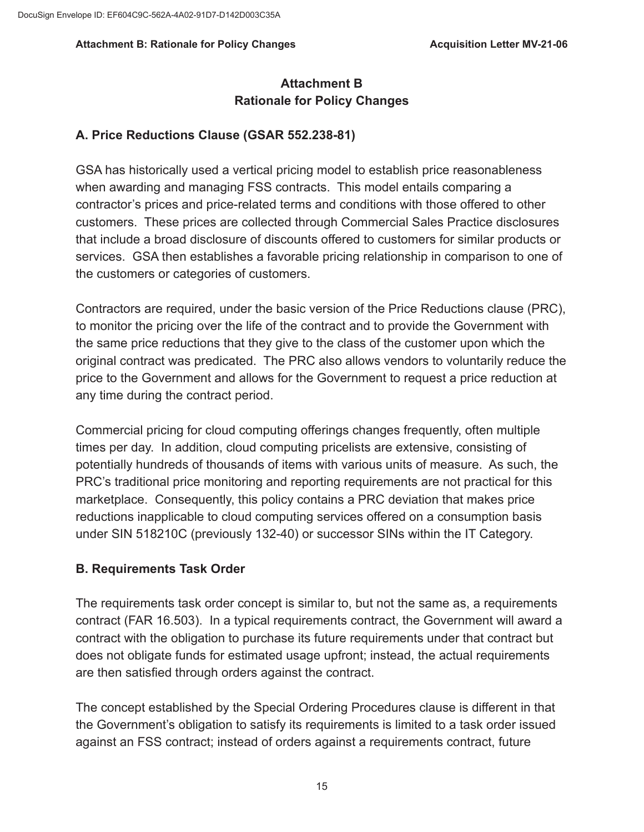#### Attachment B: Rationale for Policy Changes **Acquisition Letter MV-21-06 Acquisition Letter MV-21-06**

# **Attachment B Rationale for Policy Changes**

## **A. Price Reductions Clause (GSAR 552.238-81)**

GSA has historically used a vertical pricing model to establish price reasonableness when awarding and managing FSS contracts. This model entails comparing a contractor's prices and price-related terms and conditions with those offered to other customers. These prices are collected through Commercial Sales Practice disclosures that include a broad disclosure of discounts offered to customers for similar products or services. GSA then establishes a favorable pricing relationship in comparison to one of the customers or categories of customers.

Contractors are required, under the basic version of the Price Reductions clause (PRC), to monitor the pricing over the life of the contract and to provide the Government with the same price reductions that they give to the class of the customer upon which the original contract was predicated. The PRC also allows vendors to voluntarily reduce the price to the Government and allows for the Government to request a price reduction at any time during the contract period.

Commercial pricing for cloud computing offerings changes frequently, often multiple times per day. In addition, cloud computing pricelists are extensive, consisting of potentially hundreds of thousands of items with various units of measure. As such, the PRC's traditional price monitoring and reporting requirements are not practical for this marketplace. Consequently, this policy contains a PRC deviation that makes price reductions inapplicable to cloud computing services offered on a consumption basis under SIN 518210C (previously 132-40) or successor SINs within the IT Category.

## **B. Requirements Task Order**

The requirements task order concept is similar to, but not the same as, a requirements contract (FAR 16.503). In a typical requirements contract, the Government will award a contract with the obligation to purchase its future requirements under that contract but does not obligate funds for estimated usage upfront; instead, the actual requirements are then satisfied through orders against the contract.

The concept established by the Special Ordering Procedures clause is different in that the Government's obligation to satisfy its requirements is limited to a task order issued against an FSS contract; instead of orders against a requirements contract, future